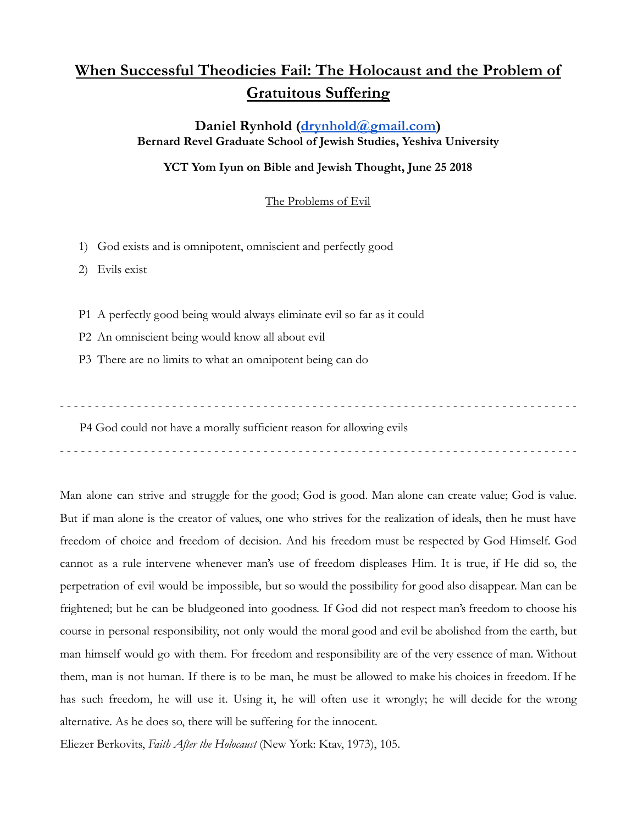## **When Successful Theodicies Fail: The Holocaust and the Problem of Gratuitous Suffering**

**Daniel Rynhold [\(drynhold@gmail.com](mailto:drynhold@gmail.com)) Bernard Revel Graduate School of Jewish Studies, Yeshiva University**

## **YCT Yom Iyun on Bible and Jewish Thought, June 25 2018**

The Problems of Evil

1) God exists and is omnipotent, omniscient and perfectly good

2) Evils exist

P1 A perfectly good being would always eliminate evil so far as it could

- P2 An omniscient being would know all about evil
- P3 There are no limits to what an omnipotent being can do

- - - - - - - - - - - - - - - - - - - - - - - - - - - - - - - - - - - - - - - - - - - - - - - - - - - - - - - - - - - - - - - - - - - - - - - - - -

P4 God could not have a morally sufficient reason for allowing evils

- - - - - - - - - - - - - - - - - - - - - - - - - - - - - - - - - - - - - - - - - - - - - - - - - - - - - - - - - - - - - - - - - - - - - - - - - -

Man alone can strive and struggle for the good; God is good. Man alone can create value; God is value. But if man alone is the creator of values, one who strives for the realization of ideals, then he must have freedom of choice and freedom of decision. And his freedom must be respected by God Himself. God cannot as a rule intervene whenever man's use of freedom displeases Him. It is true, if He did so, the perpetration of evil would be impossible, but so would the possibility for good also disappear. Man can be frightened; but he can be bludgeoned into goodness. If God did not respect man's freedom to choose his course in personal responsibility, not only would the moral good and evil be abolished from the earth, but man himself would go with them. For freedom and responsibility are of the very essence of man. Without them, man is not human. If there is to be man, he must be allowed to make his choices in freedom. If he has such freedom, he will use it. Using it, he will often use it wrongly; he will decide for the wrong alternative. As he does so, there will be suffering for the innocent.

Eliezer Berkovits, *Faith After the Holocaust* (New York: Ktav, 1973), 105.